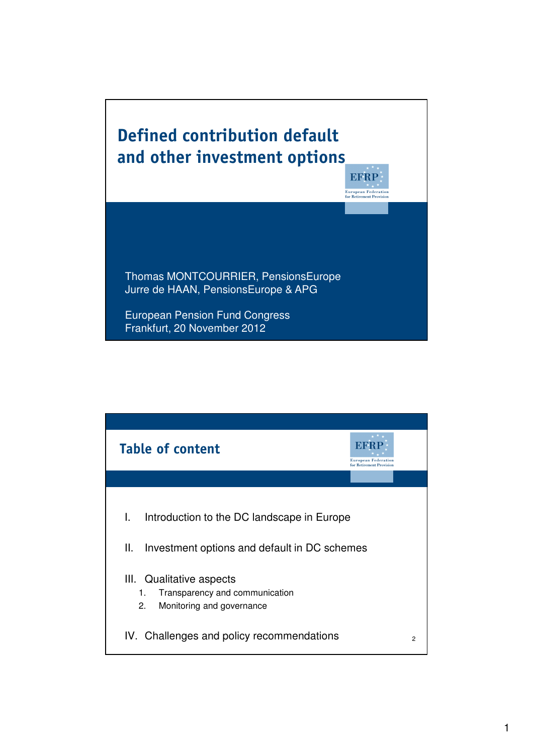## Defined contribution default and other investment options

**EFRP European Federation**<br>for Retirement Provision

Thomas MONTCOURRIER, PensionsEurope Jurre de HAAN, PensionsEurope & APG

European Pension Fund Congress Frankfurt, 20 November 2012

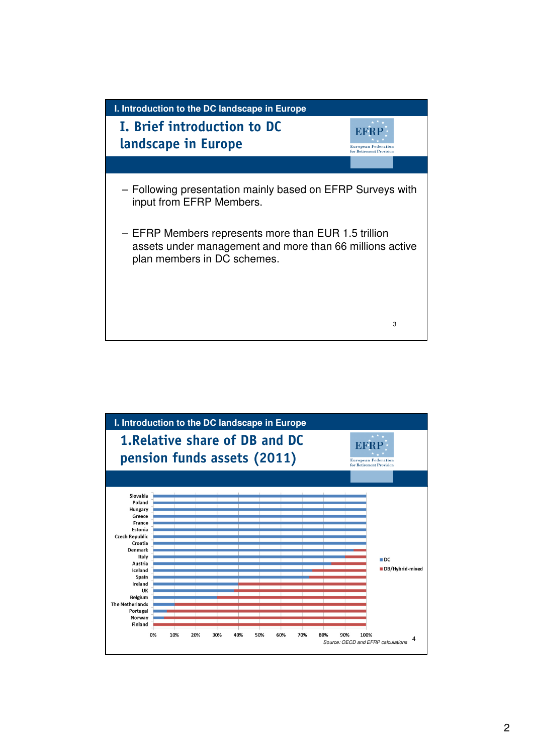

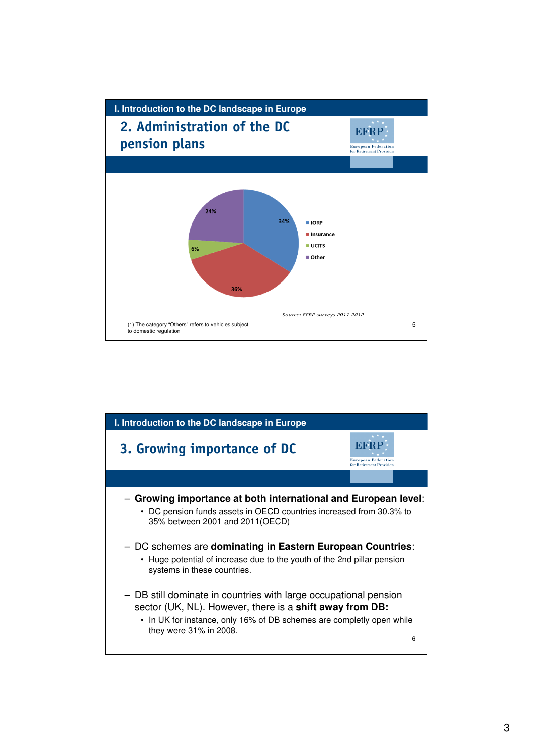

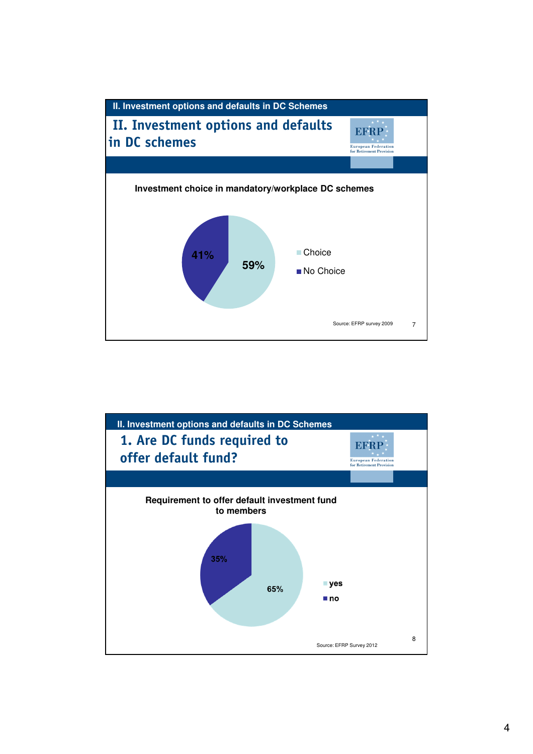

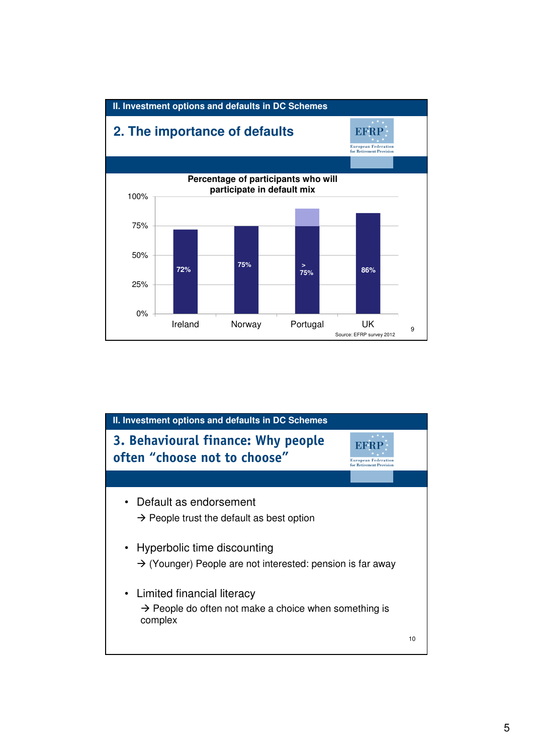

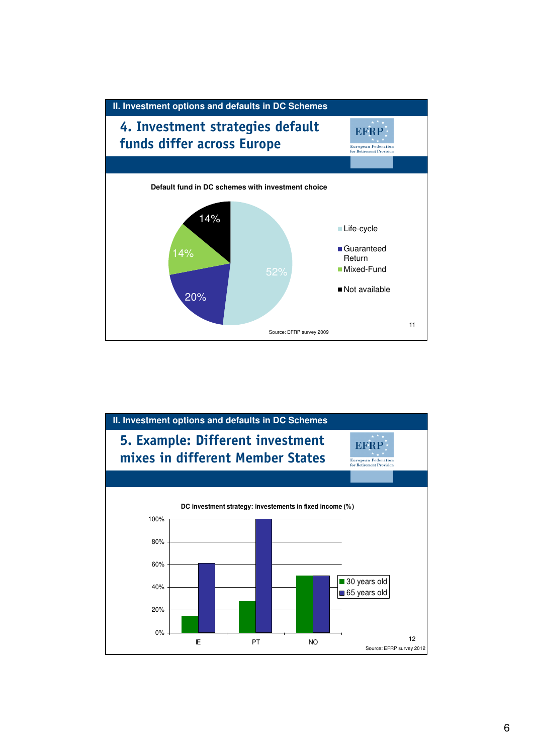

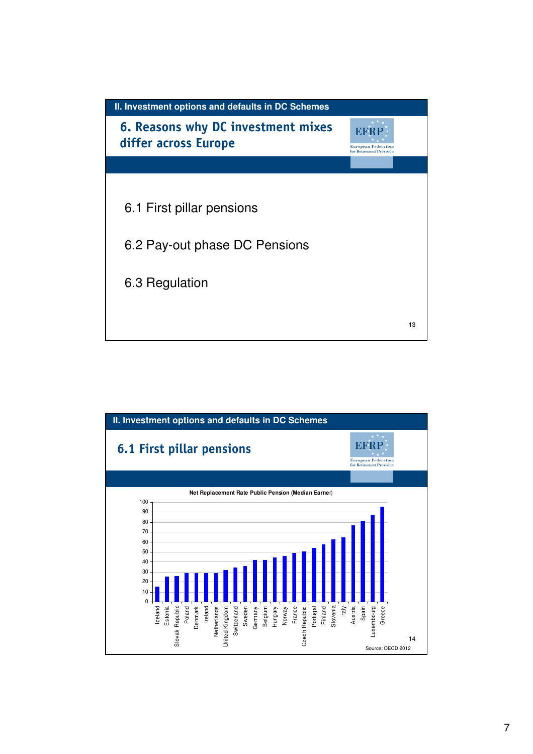

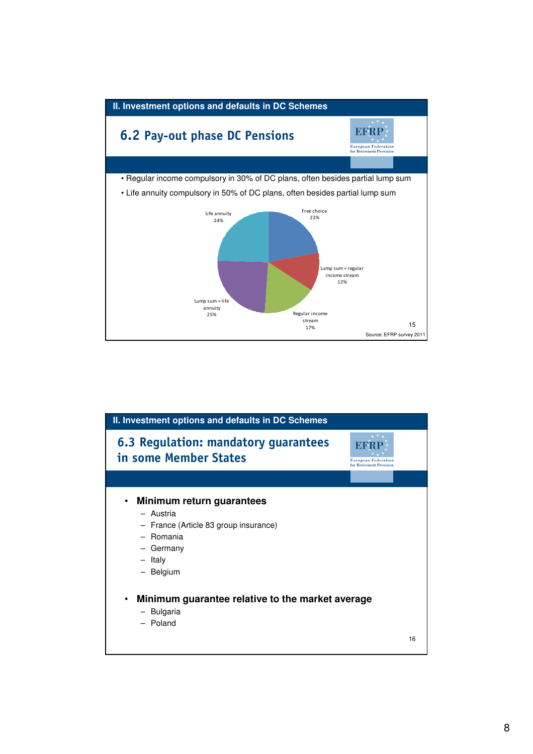

| II. Investment options and defaults in DC Schemes                                                                                            |                                                        |
|----------------------------------------------------------------------------------------------------------------------------------------------|--------------------------------------------------------|
| 6.3 Regulation: mandatory guarantees<br>in some Member States                                                                                | <b>European Federation</b><br>for Retirement Provision |
|                                                                                                                                              |                                                        |
| Minimum return guarantees<br>$\bullet$<br>- Austria<br>- France (Article 83 group insurance)<br>- Romania<br>- Germany<br>- Italy<br>Belgium |                                                        |
| Minimum guarantee relative to the market average<br>$\bullet$<br>- Bulgaria<br>- Poland<br>16                                                |                                                        |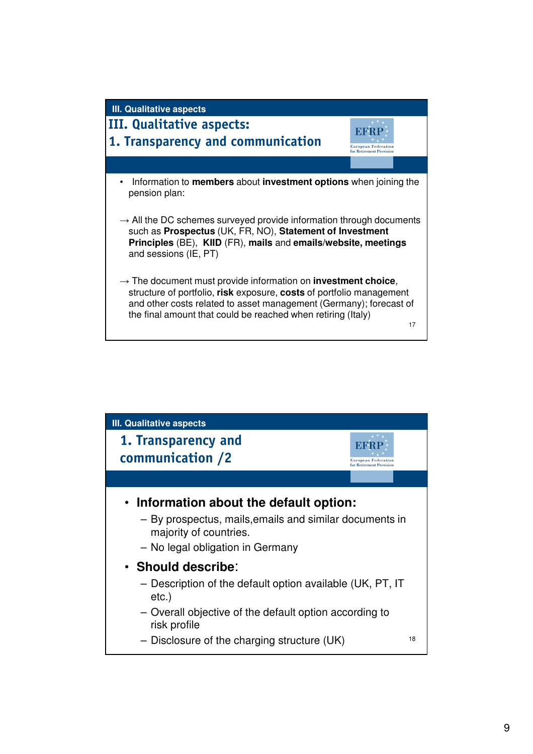

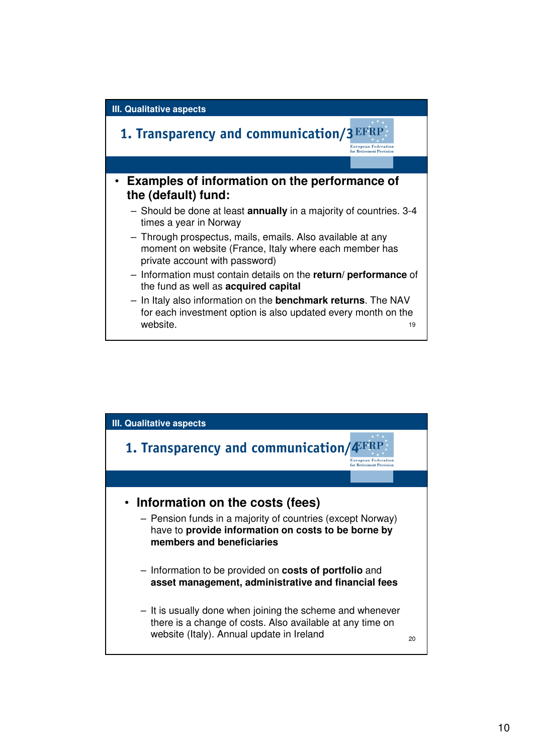

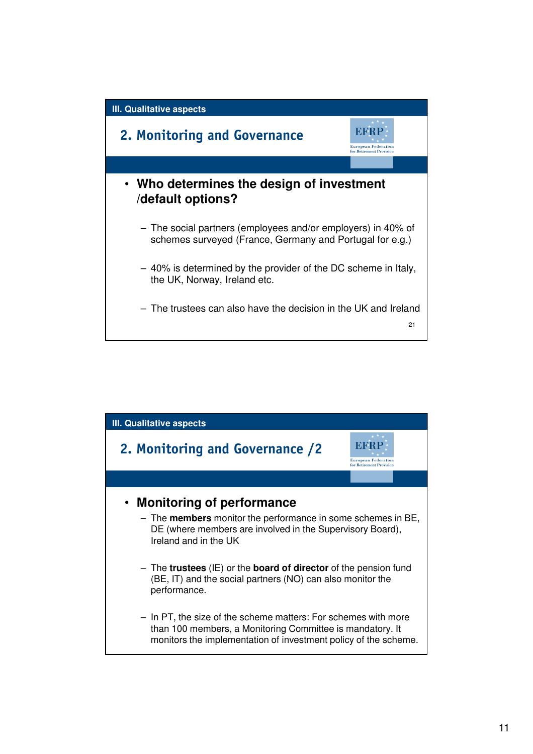

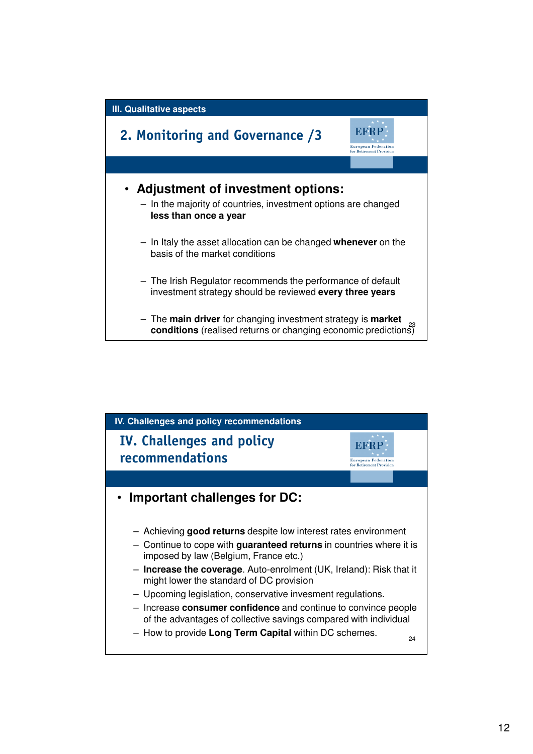

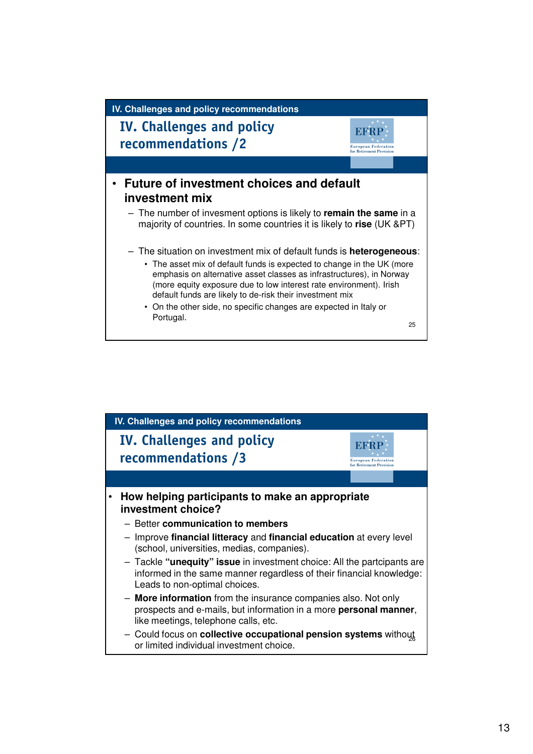